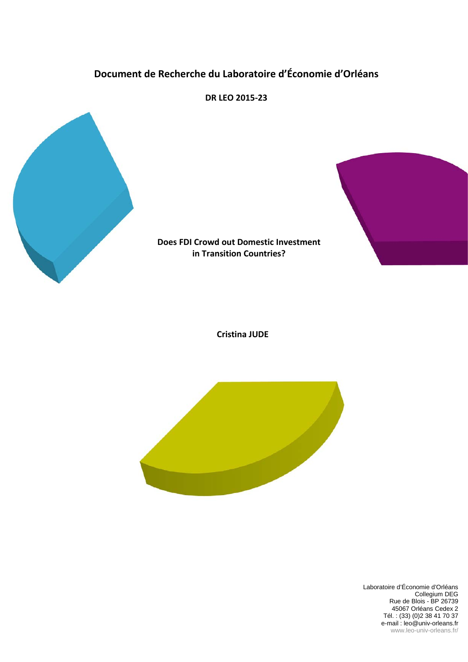# **Document de Recherche du Laboratoire d'Économie d'Orléans**



**DR LEO 2015-23**



## **Does FDI Crowd out Domestic Investment in Transition Countries?**

**Cristina JUDE**



Laboratoire d'Économie d'Orléans Collegium DEG Rue de Blois - BP 26739 45067 Orléans Cedex 2 Tél. : (33) (0)2 38 41 70 37 e-mail : leo@univ-orleans.fr www.leo-univ-orleans.fr/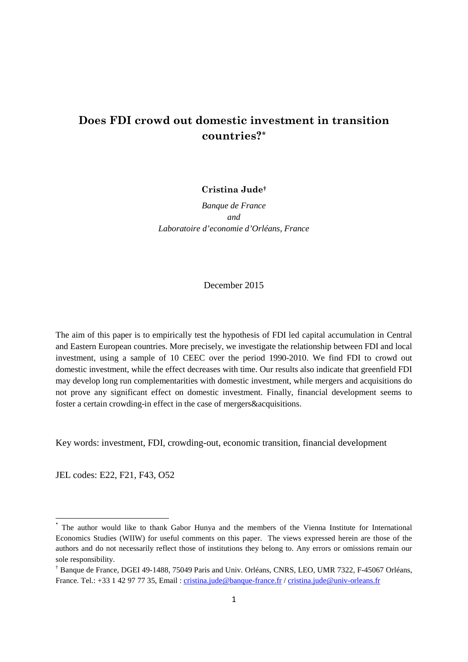# **Does FDI crowd out domestic investment in transition countries[?\\*](#page-1-0)**

**Cristina Jude[†](#page-1-1)**

*Banque de France and Laboratoire d'economie d'Orléans, France*

December 2015

The aim of this paper is to empirically test the hypothesis of FDI led capital accumulation in Central and Eastern European countries. More precisely, we investigate the relationship between FDI and local investment, using a sample of 10 CEEC over the period 1990-2010. We find FDI to crowd out domestic investment, while the effect decreases with time. Our results also indicate that greenfield FDI may develop long run complementarities with domestic investment, while mergers and acquisitions do not prove any significant effect on domestic investment. Finally, financial development seems to foster a certain crowding-in effect in the case of mergers&acquisitions.

Key words: investment, FDI, crowding-out, economic transition, financial development

JEL codes: E22, F21, F43, O52

<span id="page-1-0"></span>The author would like to thank Gabor Hunya and the members of the Vienna Institute for International Economics Studies (WIIW) for useful comments on this paper. The views expressed herein are those of the authors and do not necessarily reflect those of institutions they belong to. Any errors or omissions remain our sole responsibility.

<span id="page-1-1"></span><sup>†</sup> Banque de France, DGEI 49-1488, 75049 Paris and Univ. Orléans, CNRS, LEO, UMR 7322, F-45067 Orléans, France. Tel.: +33 1 42 97 77 35, Email : [cristina.jude@banque-france.fr](mailto:cristina.jude@banque-france.fr) / [cristina.jude@univ-orleans.fr](mailto:cristina.jude@univ-orleans.fr)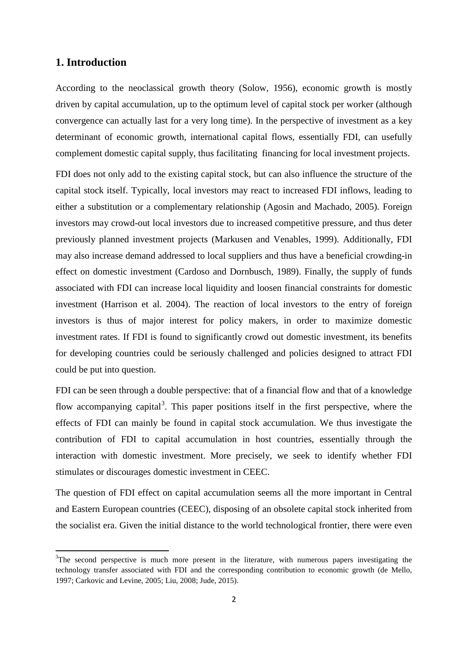# **1. Introduction**

 $\overline{a}$ 

According to the neoclassical growth theory (Solow, 1956), economic growth is mostly driven by capital accumulation, up to the optimum level of capital stock per worker (although convergence can actually last for a very long time). In the perspective of investment as a key determinant of economic growth, international capital flows, essentially FDI, can usefully complement domestic capital supply, thus facilitating financing for local investment projects.

FDI does not only add to the existing capital stock, but can also influence the structure of the capital stock itself. Typically, local investors may react to increased FDI inflows, leading to either a substitution or a complementary relationship (Agosin and Machado, 2005). Foreign investors may crowd-out local investors due to increased competitive pressure, and thus deter previously planned investment projects (Markusen and Venables, 1999). Additionally, FDI may also increase demand addressed to local suppliers and thus have a beneficial crowding-in effect on domestic investment (Cardoso and Dornbusch, 1989). Finally, the supply of funds associated with FDI can increase local liquidity and loosen financial constraints for domestic investment (Harrison et al. 2004). The reaction of local investors to the entry of foreign investors is thus of major interest for policy makers, in order to maximize domestic investment rates. If FDI is found to significantly crowd out domestic investment, its benefits for developing countries could be seriously challenged and policies designed to attract FDI could be put into question.

FDI can be seen through a double perspective: that of a financial flow and that of a knowledge flow accompanying capital<sup>[3](#page-2-0)</sup>. This paper positions itself in the first perspective, where the effects of FDI can mainly be found in capital stock accumulation. We thus investigate the contribution of FDI to capital accumulation in host countries, essentially through the interaction with domestic investment. More precisely, we seek to identify whether FDI stimulates or discourages domestic investment in CEEC.

The question of FDI effect on capital accumulation seems all the more important in Central and Eastern European countries (CEEC), disposing of an obsolete capital stock inherited from the socialist era. Given the initial distance to the world technological frontier, there were even

<span id="page-2-0"></span> $3$ The second perspective is much more present in the literature, with numerous papers investigating the technology transfer associated with FDI and the corresponding contribution to economic growth (de Mello, 1997; Carkovic and Levine, 2005; Liu, 2008; Jude, 2015).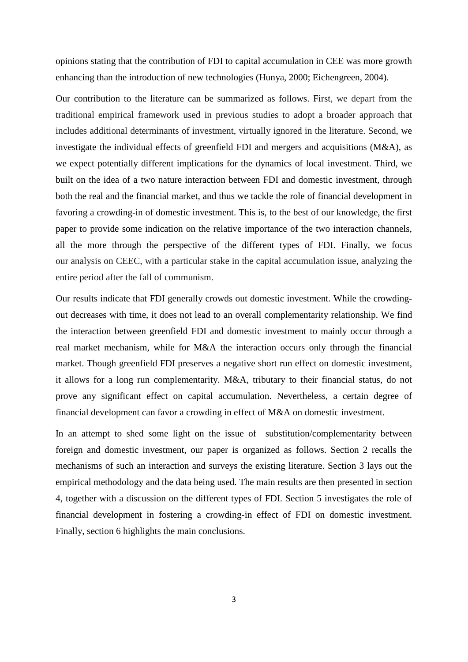opinions stating that the contribution of FDI to capital accumulation in CEE was more growth enhancing than the introduction of new technologies (Hunya, 2000; Eichengreen, 2004).

Our contribution to the literature can be summarized as follows. First, we depart from the traditional empirical framework used in previous studies to adopt a broader approach that includes additional determinants of investment, virtually ignored in the literature. Second, we investigate the individual effects of greenfield FDI and mergers and acquisitions (M&A), as we expect potentially different implications for the dynamics of local investment. Third, we built on the idea of a two nature interaction between FDI and domestic investment, through both the real and the financial market, and thus we tackle the role of financial development in favoring a crowding-in of domestic investment. This is, to the best of our knowledge, the first paper to provide some indication on the relative importance of the two interaction channels, all the more through the perspective of the different types of FDI. Finally, we focus our analysis on CEEC, with a particular stake in the capital accumulation issue, analyzing the entire period after the fall of communism.

Our results indicate that FDI generally crowds out domestic investment. While the crowdingout decreases with time, it does not lead to an overall complementarity relationship. We find the interaction between greenfield FDI and domestic investment to mainly occur through a real market mechanism, while for M&A the interaction occurs only through the financial market. Though greenfield FDI preserves a negative short run effect on domestic investment, it allows for a long run complementarity. M&A, tributary to their financial status, do not prove any significant effect on capital accumulation. Nevertheless, a certain degree of financial development can favor a crowding in effect of M&A on domestic investment.

In an attempt to shed some light on the issue of substitution/complementarity between foreign and domestic investment, our paper is organized as follows. Section 2 recalls the mechanisms of such an interaction and surveys the existing literature. Section 3 lays out the empirical methodology and the data being used. The main results are then presented in section 4, together with a discussion on the different types of FDI. Section 5 investigates the role of financial development in fostering a crowding-in effect of FDI on domestic investment. Finally, section 6 highlights the main conclusions.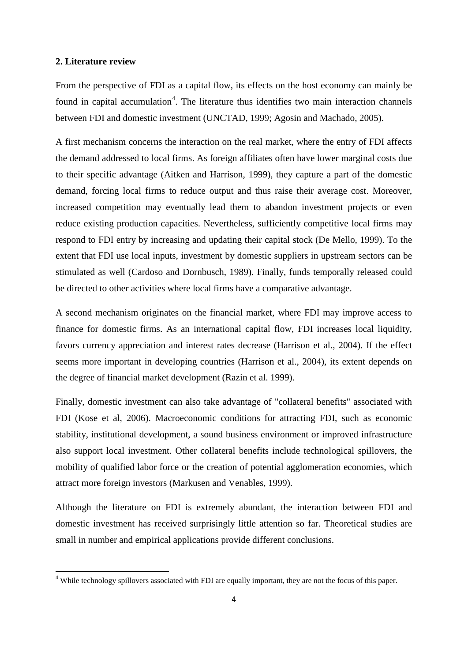#### **2. Literature review**

 $\overline{a}$ 

From the perspective of FDI as a capital flow, its effects on the host economy can mainly be found in capital accumulation<sup>[4](#page-4-0)</sup>. The literature thus identifies two main interaction channels between FDI and domestic investment (UNCTAD, 1999; Agosin and Machado, 2005).

A first mechanism concerns the interaction on the real market, where the entry of FDI affects the demand addressed to local firms. As foreign affiliates often have lower marginal costs due to their specific advantage (Aitken and Harrison, 1999), they capture a part of the domestic demand, forcing local firms to reduce output and thus raise their average cost. Moreover, increased competition may eventually lead them to abandon investment projects or even reduce existing production capacities. Nevertheless, sufficiently competitive local firms may respond to FDI entry by increasing and updating their capital stock (De Mello, 1999). To the extent that FDI use local inputs, investment by domestic suppliers in upstream sectors can be stimulated as well (Cardoso and Dornbusch, 1989). Finally, funds temporally released could be directed to other activities where local firms have a comparative advantage.

A second mechanism originates on the financial market, where FDI may improve access to finance for domestic firms. As an international capital flow, FDI increases local liquidity, favors currency appreciation and interest rates decrease (Harrison et al., 2004). If the effect seems more important in developing countries (Harrison et al., 2004), its extent depends on the degree of financial market development (Razin et al. 1999).

Finally, domestic investment can also take advantage of "collateral benefits" associated with FDI (Kose et al, 2006). Macroeconomic conditions for attracting FDI, such as economic stability, institutional development, a sound business environment or improved infrastructure also support local investment. Other collateral benefits include technological spillovers, the mobility of qualified labor force or the creation of potential agglomeration economies, which attract more foreign investors (Markusen and Venables, 1999).

Although the literature on FDI is extremely abundant, the interaction between FDI and domestic investment has received surprisingly little attention so far. Theoretical studies are small in number and empirical applications provide different conclusions.

<span id="page-4-0"></span><sup>&</sup>lt;sup>4</sup> While technology spillovers associated with FDI are equally important, they are not the focus of this paper.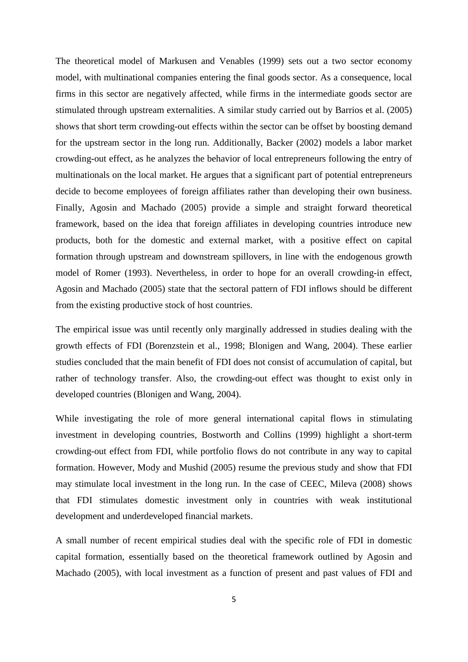The theoretical model of Markusen and Venables (1999) sets out a two sector economy model, with multinational companies entering the final goods sector. As a consequence, local firms in this sector are negatively affected, while firms in the intermediate goods sector are stimulated through upstream externalities. A similar study carried out by Barrios et al. (2005) shows that short term crowding-out effects within the sector can be offset by boosting demand for the upstream sector in the long run. Additionally, Backer (2002) models a labor market crowding-out effect, as he analyzes the behavior of local entrepreneurs following the entry of multinationals on the local market. He argues that a significant part of potential entrepreneurs decide to become employees of foreign affiliates rather than developing their own business. Finally, Agosin and Machado (2005) provide a simple and straight forward theoretical framework, based on the idea that foreign affiliates in developing countries introduce new products, both for the domestic and external market, with a positive effect on capital formation through upstream and downstream spillovers, in line with the endogenous growth model of Romer (1993). Nevertheless, in order to hope for an overall crowding-in effect, Agosin and Machado (2005) state that the sectoral pattern of FDI inflows should be different from the existing productive stock of host countries.

The empirical issue was until recently only marginally addressed in studies dealing with the growth effects of FDI (Borenzstein et al., 1998; Blonigen and Wang, 2004). These earlier studies concluded that the main benefit of FDI does not consist of accumulation of capital, but rather of technology transfer. Also, the crowding-out effect was thought to exist only in developed countries (Blonigen and Wang, 2004).

While investigating the role of more general international capital flows in stimulating investment in developing countries, Bostworth and Collins (1999) highlight a short-term crowding-out effect from FDI, while portfolio flows do not contribute in any way to capital formation. However, Mody and Mushid (2005) resume the previous study and show that FDI may stimulate local investment in the long run. In the case of CEEC, Mileva (2008) shows that FDI stimulates domestic investment only in countries with weak institutional development and underdeveloped financial markets.

A small number of recent empirical studies deal with the specific role of FDI in domestic capital formation, essentially based on the theoretical framework outlined by Agosin and Machado (2005), with local investment as a function of present and past values of FDI and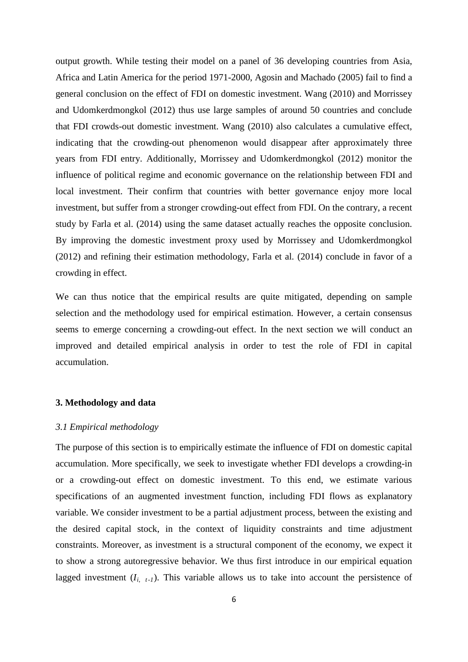output growth. While testing their model on a panel of 36 developing countries from Asia, Africa and Latin America for the period 1971-2000, Agosin and Machado (2005) fail to find a general conclusion on the effect of FDI on domestic investment. Wang (2010) and Morrissey and Udomkerdmongkol (2012) thus use large samples of around 50 countries and conclude that FDI crowds-out domestic investment. Wang (2010) also calculates a cumulative effect, indicating that the crowding-out phenomenon would disappear after approximately three years from FDI entry. Additionally, Morrissey and Udomkerdmongkol (2012) monitor the influence of political regime and economic governance on the relationship between FDI and local investment. Their confirm that countries with better governance enjoy more local investment, but suffer from a stronger crowding-out effect from FDI. On the contrary, a recent study by Farla et al. (2014) using the same dataset actually reaches the opposite conclusion. By improving the domestic investment proxy used by Morrissey and Udomkerdmongkol (2012) and refining their estimation methodology, Farla et al. (2014) conclude in favor of a crowding in effect.

We can thus notice that the empirical results are quite mitigated, depending on sample selection and the methodology used for empirical estimation. However, a certain consensus seems to emerge concerning a crowding-out effect. In the next section we will conduct an improved and detailed empirical analysis in order to test the role of FDI in capital accumulation.

## **3. Methodology and data**

#### *3.1 Empirical methodology*

The purpose of this section is to empirically estimate the influence of FDI on domestic capital accumulation. More specifically, we seek to investigate whether FDI develops a crowding-in or a crowding-out effect on domestic investment. To this end, we estimate various specifications of an augmented investment function, including FDI flows as explanatory variable. We consider investment to be a partial adjustment process, between the existing and the desired capital stock, in the context of liquidity constraints and time adjustment constraints. Moreover, as investment is a structural component of the economy, we expect it to show a strong autoregressive behavior. We thus first introduce in our empirical equation lagged investment  $(I_{i, t-1})$ . This variable allows us to take into account the persistence of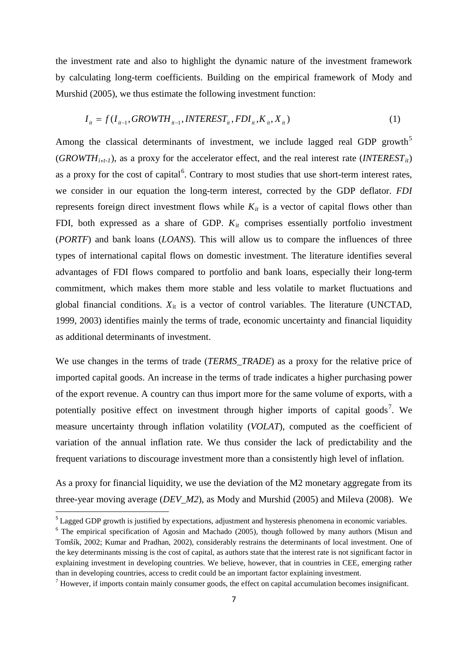the investment rate and also to highlight the dynamic nature of the investment framework by calculating long-term coefficients. Building on the empirical framework of Mody and Murshid (2005), we thus estimate the following investment function:

$$
I_{it} = f(I_{it-1}, \text{GROWTH}_{it-1}, \text{INTEREST}_{it}, \text{FDI}_{it}, \text{K}_{it}, \text{X}_{it})
$$
\n
$$
\tag{1}
$$

Among the classical determinants of investment, we include lagged real GDP growth<sup>[5](#page-7-0)</sup>  $(GROWTH_{i,t-1})$ , as a proxy for the accelerator effect, and the real interest rate  $(NTEREST_{it})$ as a proxy for the cost of capital<sup>[6](#page-7-1)</sup>. Contrary to most studies that use short-term interest rates, we consider in our equation the long-term interest, corrected by the GDP deflator. *FDI* represents foreign direct investment flows while  $K_{it}$  is a vector of capital flows other than FDI, both expressed as a share of GDP. *Kit* comprises essentially portfolio investment (*PORTF*) and bank loans (*LOANS*). This will allow us to compare the influences of three types of international capital flows on domestic investment. The literature identifies several advantages of FDI flows compared to portfolio and bank loans, especially their long-term commitment, which makes them more stable and less volatile to market fluctuations and global financial conditions.  $X_{it}$  is a vector of control variables. The literature (UNCTAD, 1999, 2003) identifies mainly the terms of trade, economic uncertainty and financial liquidity as additional determinants of investment.

We use changes in the terms of trade (*TERMS\_TRADE*) as a proxy for the relative price of imported capital goods. An increase in the terms of trade indicates a higher purchasing power of the export revenue. A country can thus import more for the same volume of exports, with a potentially positive effect on investment through higher imports of capital goods<sup>[7](#page-7-2)</sup>. We measure uncertainty through inflation volatility (*VOLAT*), computed as the coefficient of variation of the annual inflation rate. We thus consider the lack of predictability and the frequent variations to discourage investment more than a consistently high level of inflation.

As a proxy for financial liquidity, we use the deviation of the M2 monetary aggregate from its three-year moving average (*DEV\_M2*), as Mody and Murshid (2005) and Mileva (2008). We

<span id="page-7-0"></span><sup>&</sup>lt;sup>5</sup> Lagged GDP growth is justified by expectations, adjustment and hysteresis phenomena in economic variables.

<span id="page-7-1"></span> $6$  The empirical specification of Agosin and Machado (2005), though followed by many authors (Misun and Tomšík, 2002; Kumar and Pradhan, 2002), considerably restrains the determinants of local investment. One of the key determinants missing is the cost of capital, as authors state that the interest rate is not significant factor in explaining investment in developing countries. We believe, however, that in countries in CEE, emerging rather than in developing countries, access to credit could be an important factor explaining investment.

<span id="page-7-2"></span> $7$  However, if imports contain mainly consumer goods, the effect on capital accumulation becomes insignificant.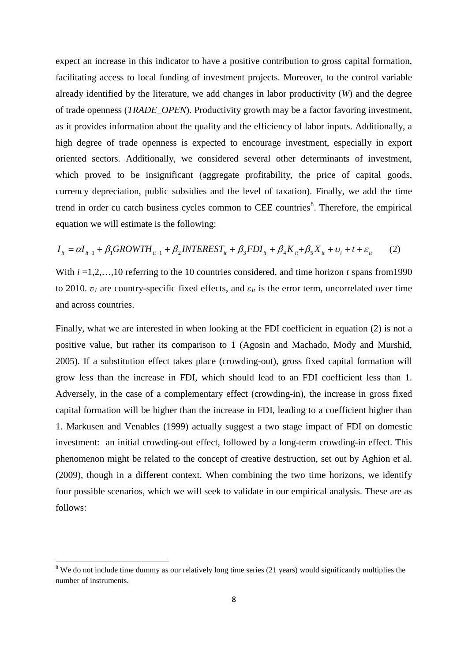expect an increase in this indicator to have a positive contribution to gross capital formation, facilitating access to local funding of investment projects. Moreover, to the control variable already identified by the literature, we add changes in labor productivity (*W*) and the degree of trade openness (*TRADE\_OPEN*). Productivity growth may be a factor favoring investment, as it provides information about the quality and the efficiency of labor inputs. Additionally, a high degree of trade openness is expected to encourage investment, especially in export oriented sectors. Additionally, we considered several other determinants of investment, which proved to be insignificant (aggregate profitability, the price of capital goods, currency depreciation, public subsidies and the level of taxation). Finally, we add the time trend in order cu catch business cycles common to CEE countries<sup>[8](#page-8-0)</sup>. Therefore, the empirical equation we will estimate is the following:

$$
I_{it} = \alpha I_{it-1} + \beta_1 GROWTH_{it-1} + \beta_2 INTEREST_{it} + \beta_3 FDI_{it} + \beta_4 K_{it} + \beta_5 X_{it} + \nu_i + t + \varepsilon_{it}
$$
 (2)

With  $i = 1, 2, \ldots, 10$  referring to the 10 countries considered, and time horizon *t* spans from 1990 to 2010.  $v_i$  are country-specific fixed effects, and  $\varepsilon_{it}$  is the error term, uncorrelated over time and across countries.

Finally, what we are interested in when looking at the FDI coefficient in equation (2) is not a positive value, but rather its comparison to 1 (Agosin and Machado, Mody and Murshid, 2005). If a substitution effect takes place (crowding-out), gross fixed capital formation will grow less than the increase in FDI, which should lead to an FDI coefficient less than 1. Adversely, in the case of a complementary effect (crowding-in), the increase in gross fixed capital formation will be higher than the increase in FDI, leading to a coefficient higher than 1. Markusen and Venables (1999) actually suggest a two stage impact of FDI on domestic investment: an initial crowding-out effect, followed by a long-term crowding-in effect. This phenomenon might be related to the concept of creative destruction, set out by Aghion et al. (2009), though in a different context. When combining the two time horizons, we identify four possible scenarios, which we will seek to validate in our empirical analysis. These are as follows:

<span id="page-8-0"></span> $8$  We do not include time dummy as our relatively long time series (21 years) would significantly multiplies the number of instruments.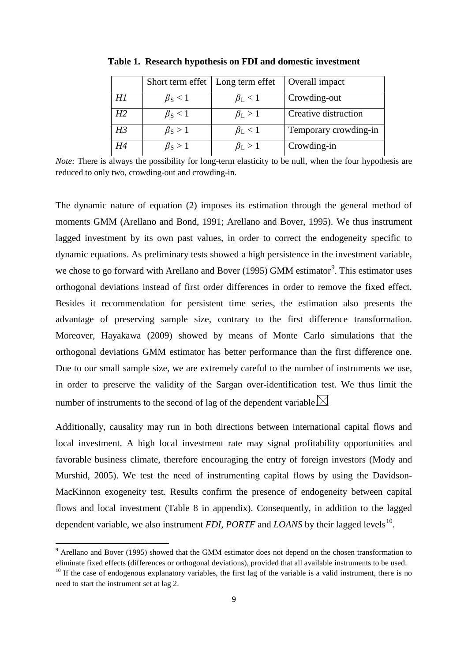|                | Short term effet    | Long term effet     | Overall impact        |
|----------------|---------------------|---------------------|-----------------------|
| H1             | $\beta_{\rm S}$ < 1 | $\beta_{\rm L}$ < 1 | Crowding-out          |
| H2             | $\beta_{\rm S}$ < 1 | $\beta_{\rm L} > 1$ | Creative distruction  |
| H <sub>3</sub> | $\beta_{\rm S} > 1$ | $\beta_{\rm L}$ < 1 | Temporary crowding-in |
| H4             | $\beta_{\rm S} > 1$ | $\beta_{\rm L} > 1$ | Crowding-in           |

**Table 1. Research hypothesis on FDI and domestic investment**

*Note:* There is always the possibility for long-term elasticity to be null, when the four hypothesis are reduced to only two, crowding-out and crowding-in.

The dynamic nature of equation (2) imposes its estimation through the general method of moments GMM (Arellano and Bond, 1991; Arellano and Bover, 1995). We thus instrument lagged investment by its own past values, in order to correct the endogeneity specific to dynamic equations. As preliminary tests showed a high persistence in the investment variable, we chose to go forward with Arellano and Bover (1[9](#page-9-0)95) GMM estimator<sup>9</sup>. This estimator uses orthogonal deviations instead of first order differences in order to remove the fixed effect. Besides it recommendation for persistent time series, the estimation also presents the advantage of preserving sample size, contrary to the first difference transformation. Moreover, Hayakawa (2009) showed by means of Monte Carlo simulations that the orthogonal deviations GMM estimator has better performance than the first difference one. Due to our small sample size, we are extremely careful to the number of instruments we use, in order to preserve the validity of the Sargan over-identification test. We thus limit the number of instruments to the second of lag of the dependent variable.  $\boxtimes$ 

Additionally, causality may run in both directions between international capital flows and local investment. A high local investment rate may signal profitability opportunities and favorable business climate, therefore encouraging the entry of foreign investors (Mody and Murshid, 2005). We test the need of instrumenting capital flows by using the Davidson-MacKinnon exogeneity test. Results confirm the presence of endogeneity between capital flows and local investment (Table 8 in appendix). Consequently, in addition to the lagged dependent variable, we also instrument *FDI*, *PORTF* and *LOANS* by their lagged levels<sup>[10](#page-9-1)</sup>.

<span id="page-9-0"></span><sup>9</sup> Arellano and Bover (1995) showed that the GMM estimator does not depend on the chosen transformation to eliminate fixed effects (differences or orthogonal deviations), provided that all available instruments to be used.

<span id="page-9-1"></span> $10$  If the case of endogenous explanatory variables, the first lag of the variable is a valid instrument, there is no need to start the instrument set at lag 2.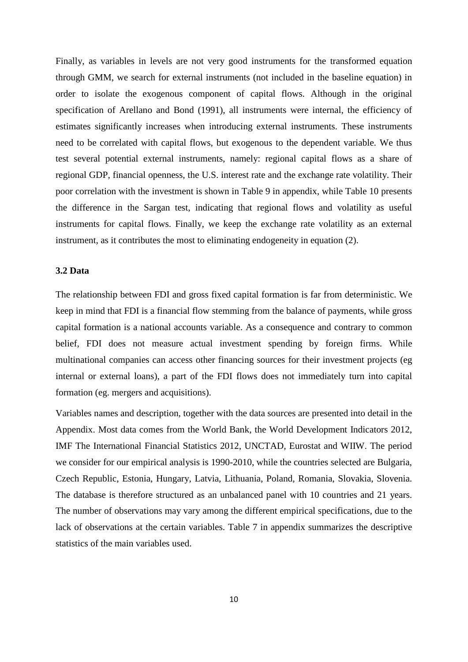Finally, as variables in levels are not very good instruments for the transformed equation through GMM, we search for external instruments (not included in the baseline equation) in order to isolate the exogenous component of capital flows. Although in the original specification of Arellano and Bond (1991), all instruments were internal, the efficiency of estimates significantly increases when introducing external instruments. These instruments need to be correlated with capital flows, but exogenous to the dependent variable. We thus test several potential external instruments, namely: regional capital flows as a share of regional GDP, financial openness, the U.S. interest rate and the exchange rate volatility. Their poor correlation with the investment is shown in Table 9 in appendix, while Table 10 presents the difference in the Sargan test, indicating that regional flows and volatility as useful instruments for capital flows. Finally, we keep the exchange rate volatility as an external instrument, as it contributes the most to eliminating endogeneity in equation (2).

## **3.2 Data**

The relationship between FDI and gross fixed capital formation is far from deterministic. We keep in mind that FDI is a financial flow stemming from the balance of payments, while gross capital formation is a national accounts variable. As a consequence and contrary to common belief, FDI does not measure actual investment spending by foreign firms. While multinational companies can access other financing sources for their investment projects (eg internal or external loans), a part of the FDI flows does not immediately turn into capital formation (eg. mergers and acquisitions).

Variables names and description, together with the data sources are presented into detail in the Appendix. Most data comes from the World Bank, the World Development Indicators 2012, IMF The International Financial Statistics 2012, UNCTAD, Eurostat and WIIW. The period we consider for our empirical analysis is 1990-2010, while the countries selected are Bulgaria, Czech Republic, Estonia, Hungary, Latvia, Lithuania, Poland, Romania, Slovakia, Slovenia. The database is therefore structured as an unbalanced panel with 10 countries and 21 years. The number of observations may vary among the different empirical specifications, due to the lack of observations at the certain variables. Table 7 in appendix summarizes the descriptive statistics of the main variables used.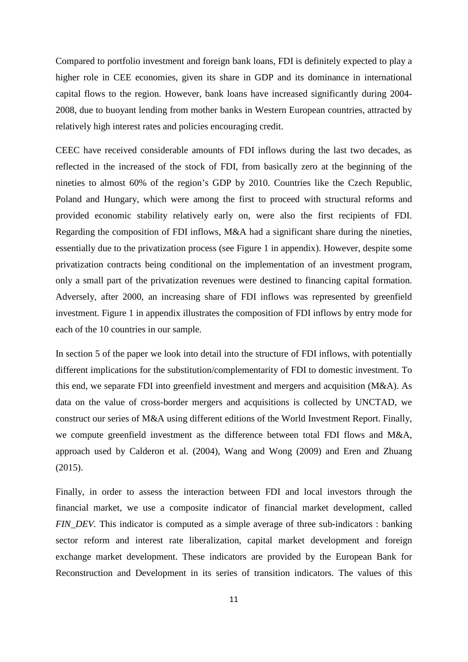Compared to portfolio investment and foreign bank loans, FDI is definitely expected to play a higher role in CEE economies, given its share in GDP and its dominance in international capital flows to the region. However, bank loans have increased significantly during 2004- 2008, due to buoyant lending from mother banks in Western European countries, attracted by relatively high interest rates and policies encouraging credit.

CEEC have received considerable amounts of FDI inflows during the last two decades, as reflected in the increased of the stock of FDI, from basically zero at the beginning of the nineties to almost 60% of the region's GDP by 2010. Countries like the Czech Republic, Poland and Hungary, which were among the first to proceed with structural reforms and provided economic stability relatively early on, were also the first recipients of FDI. Regarding the composition of FDI inflows, M&A had a significant share during the nineties, essentially due to the privatization process (see Figure 1 in appendix). However, despite some privatization contracts being conditional on the implementation of an investment program, only a small part of the privatization revenues were destined to financing capital formation. Adversely, after 2000, an increasing share of FDI inflows was represented by greenfield investment. Figure 1 in appendix illustrates the composition of FDI inflows by entry mode for each of the 10 countries in our sample.

In section 5 of the paper we look into detail into the structure of FDI inflows, with potentially different implications for the substitution/complementarity of FDI to domestic investment. To this end, we separate FDI into greenfield investment and mergers and acquisition (M&A). As data on the value of cross-border mergers and acquisitions is collected by UNCTAD, we construct our series of M&A using different editions of the World Investment Report. Finally, we compute greenfield investment as the difference between total FDI flows and M&A, approach used by Calderon et al. (2004), Wang and Wong (2009) and Eren and Zhuang (2015).

Finally, in order to assess the interaction between FDI and local investors through the financial market, we use a composite indicator of financial market development, called *FIN DEV.* This indicator is computed as a simple average of three sub-indicators : banking sector reform and interest rate liberalization, capital market development and foreign exchange market development. These indicators are provided by the European Bank for Reconstruction and Development in its series of transition indicators. The values of this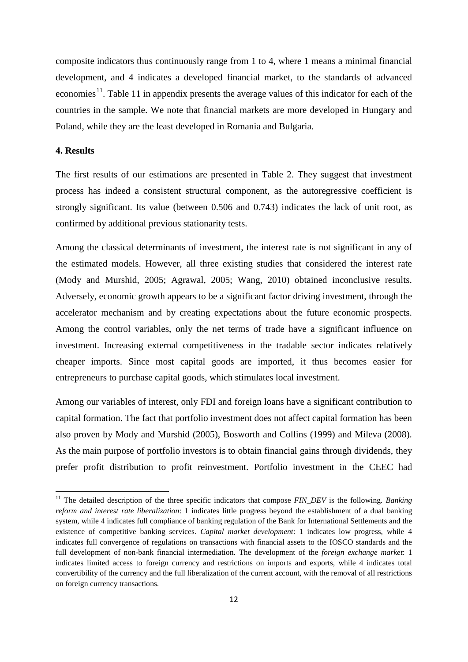composite indicators thus continuously range from 1 to 4, where 1 means a minimal financial development, and 4 indicates a developed financial market, to the standards of advanced economies<sup>11</sup>. Table 11 in appendix presents the average values of this indicator for each of the countries in the sample. We note that financial markets are more developed in Hungary and Poland, while they are the least developed in Romania and Bulgaria.

## **4. Results**

 $\overline{a}$ 

The first results of our estimations are presented in Table 2. They suggest that investment process has indeed a consistent structural component, as the autoregressive coefficient is strongly significant. Its value (between 0.506 and 0.743) indicates the lack of unit root, as confirmed by additional previous stationarity tests.

Among the classical determinants of investment, the interest rate is not significant in any of the estimated models. However, all three existing studies that considered the interest rate (Mody and Murshid, 2005; Agrawal, 2005; Wang, 2010) obtained inconclusive results. Adversely, economic growth appears to be a significant factor driving investment, through the accelerator mechanism and by creating expectations about the future economic prospects. Among the control variables, only the net terms of trade have a significant influence on investment. Increasing external competitiveness in the tradable sector indicates relatively cheaper imports. Since most capital goods are imported, it thus becomes easier for entrepreneurs to purchase capital goods, which stimulates local investment.

Among our variables of interest, only FDI and foreign loans have a significant contribution to capital formation. The fact that portfolio investment does not affect capital formation has been also proven by Mody and Murshid (2005), Bosworth and Collins (1999) and Mileva (2008). As the main purpose of portfolio investors is to obtain financial gains through dividends, they prefer profit distribution to profit reinvestment. Portfolio investment in the CEEC had

<span id="page-12-0"></span><sup>&</sup>lt;sup>11</sup> The detailed description of the three specific indicators that compose *FIN\_DEV* is the following. *Banking reform and interest rate liberalization*: 1 indicates little progress beyond the establishment of a dual banking system, while 4 indicates full compliance of banking regulation of the Bank for International Settlements and the existence of competitive banking services. *Capital market development*: 1 indicates low progress, while 4 indicates full convergence of regulations on transactions with financial assets to the IOSCO standards and the full development of non-bank financial intermediation. The development of the *foreign exchange market*: 1 indicates limited access to foreign currency and restrictions on imports and exports, while 4 indicates total convertibility of the currency and the full liberalization of the current account, with the removal of all restrictions on foreign currency transactions.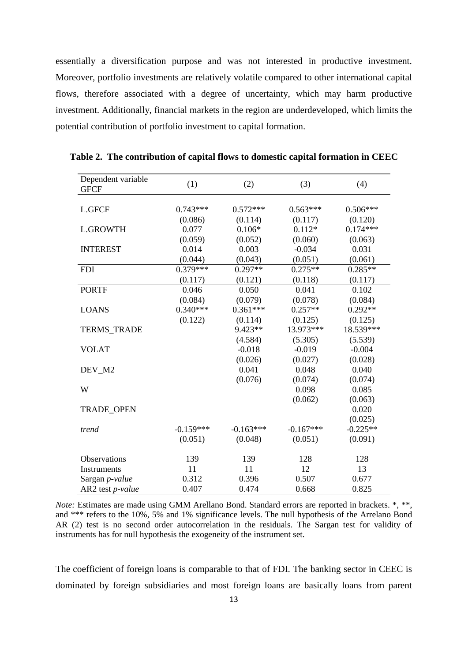essentially a diversification purpose and was not interested in productive investment. Moreover, portfolio investments are relatively volatile compared to other international capital flows, therefore associated with a degree of uncertainty, which may harm productive investment. Additionally, financial markets in the region are underdeveloped, which limits the potential contribution of portfolio investment to capital formation.

| Dependent variable<br><b>GFCF</b> | (1)         | (2)         | (3)         | (4)        |
|-----------------------------------|-------------|-------------|-------------|------------|
|                                   |             |             |             |            |
| <b>L.GFCF</b>                     | $0.743***$  | $0.572***$  | $0.563***$  | $0.506***$ |
|                                   | (0.086)     | (0.114)     | (0.117)     | (0.120)    |
| <b>L.GROWTH</b>                   | 0.077       | $0.106*$    | $0.112*$    | $0.174***$ |
|                                   | (0.059)     | (0.052)     | (0.060)     | (0.063)    |
| <b>INTEREST</b>                   | 0.014       | 0.003       | $-0.034$    | 0.031      |
|                                   | (0.044)     | (0.043)     | (0.051)     | (0.061)    |
| <b>FDI</b>                        | $0.379***$  | $0.297**$   | $0.275**$   | $0.285**$  |
|                                   | (0.117)     | (0.121)     | (0.118)     | (0.117)    |
| <b>PORTF</b>                      | 0.046       | 0.050       | 0.041       | 0.102      |
|                                   | (0.084)     | (0.079)     | (0.078)     | (0.084)    |
| <b>LOANS</b>                      | $0.340***$  | $0.361***$  | $0.257**$   | $0.292**$  |
|                                   | (0.122)     | (0.114)     | (0.125)     | (0.125)    |
| <b>TERMS_TRADE</b>                |             | 9.423**     | 13.973***   | 18.539***  |
|                                   |             | (4.584)     | (5.305)     | (5.539)    |
| <b>VOLAT</b>                      |             | $-0.018$    | $-0.019$    | $-0.004$   |
|                                   |             | (0.026)     | (0.027)     | (0.028)    |
| DEV_M2                            |             | 0.041       | 0.048       | 0.040      |
|                                   |             | (0.076)     | (0.074)     | (0.074)    |
| W                                 |             |             | 0.098       | 0.085      |
|                                   |             |             | (0.062)     | (0.063)    |
| <b>TRADE_OPEN</b>                 |             |             |             | 0.020      |
|                                   |             |             |             | (0.025)    |
| trend                             | $-0.159***$ | $-0.163***$ | $-0.167***$ | $-0.225**$ |
|                                   | (0.051)     | (0.048)     | (0.051)     | (0.091)    |
| Observations                      | 139         | 139         | 128         | 128        |
| Instruments                       | 11          | 11          | 12          | 13         |
| Sargan p-value                    | 0.312       | 0.396       | 0.507       | 0.677      |
| AR2 test p-value                  | 0.407       | 0.474       | 0.668       | 0.825      |

**Table 2. The contribution of capital flows to domestic capital formation in CEEC**

*Note:* Estimates are made using GMM Arellano Bond. Standard errors are reported in brackets. \*, \*\*, and \*\*\* refers to the 10%, 5% and 1% significance levels. The null hypothesis of the Arrelano Bond AR (2) test is no second order autocorrelation in the residuals. The Sargan test for validity of instruments has for null hypothesis the exogeneity of the instrument set.

The coefficient of foreign loans is comparable to that of FDI. The banking sector in CEEC is dominated by foreign subsidiaries and most foreign loans are basically loans from parent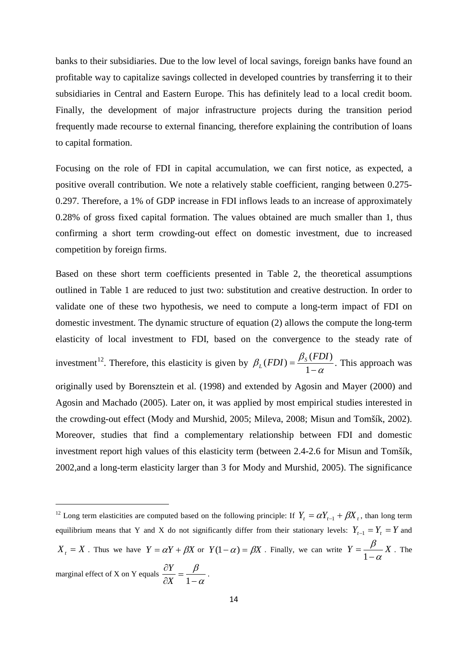banks to their subsidiaries. Due to the low level of local savings, foreign banks have found an profitable way to capitalize savings collected in developed countries by transferring it to their subsidiaries in Central and Eastern Europe. This has definitely lead to a local credit boom. Finally, the development of major infrastructure projects during the transition period frequently made recourse to external financing, therefore explaining the contribution of loans to capital formation.

Focusing on the role of FDI in capital accumulation, we can first notice, as expected, a positive overall contribution. We note a relatively stable coefficient, ranging between 0.275- 0.297. Therefore, a 1% of GDP increase in FDI inflows leads to an increase of approximately 0.28% of gross fixed capital formation. The values obtained are much smaller than 1, thus confirming a short term crowding-out effect on domestic investment, due to increased competition by foreign firms.

Based on these short term coefficients presented in Table 2, the theoretical assumptions outlined in Table 1 are reduced to just two: substitution and creative destruction. In order to validate one of these two hypothesis, we need to compute a long-term impact of FDI on domestic investment. The dynamic structure of equation (2) allows the compute the long-term elasticity of local investment to FDI, based on the convergence to the steady rate of investment<sup>[12](#page-14-0)</sup>. Therefore, this elasticity is given by  $\beta_L(FDI) = \frac{\beta_S(FDI)}{1-\alpha}$ . This approach was originally used by Borensztein et al. (1998) and extended by Agosin and Mayer (2000) and Agosin and Machado (2005). Later on, it was applied by most empirical studies interested in the crowding-out effect (Mody and Murshid, 2005; Mileva, 2008; Misun and Tomšík, 2002). Moreover, studies that find a complementary relationship between FDI and domestic investment report high values of this elasticity term (between 2.4-2.6 for Misun and Tomšík, 2002,and a long-term elasticity larger than 3 for Mody and Murshid, 2005). The significance

<span id="page-14-0"></span><sup>&</sup>lt;sup>12</sup> Long term elasticities are computed based on the following principle: If  $Y_t = \alpha Y_{t-1} + \beta X_t$ , than long term equilibrium means that Y and X do not significantly differ from their stationary levels:  $Y_{t-1} = Y_t = Y$  and  $X_t = X$ . Thus we have  $Y = \alpha Y + \beta X$  or  $Y(1-\alpha) = \beta X$ . Finally, we can write  $Y = \frac{\beta}{1-\alpha}X$  $=\frac{\beta}{1-\alpha}X$ . The marginal effect of X on Y equals  $\frac{dS}{dX} = \frac{P}{1-\alpha}$  $\frac{\partial Y}{\partial X} = \frac{\beta}{1-\alpha}$ *X* 1  $\frac{Y}{Y} = \frac{\beta}{\beta}$ .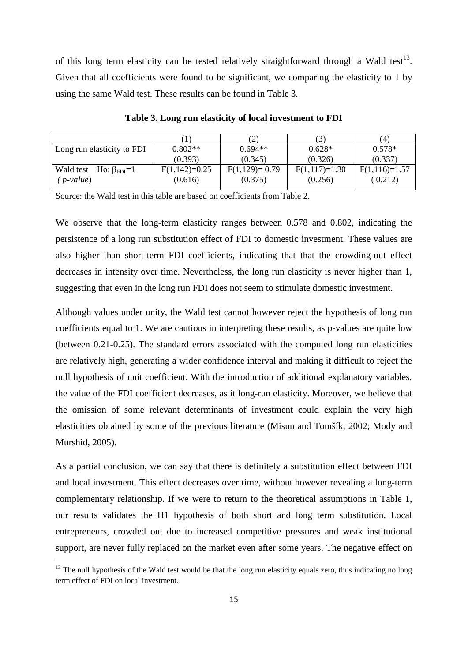of this long term elasticity can be tested relatively straightforward through a Wald test<sup>13</sup>. Given that all coefficients were found to be significant, we comparing the elasticity to 1 by using the same Wald test. These results can be found in Table 3.

|                            |                            | (3)                        | (4)                        |
|----------------------------|----------------------------|----------------------------|----------------------------|
| $0.802**$                  | $0.694**$                  | $0.628*$                   | $0.578*$                   |
| (0.393)                    | (0.345)                    | (0.326)                    | (0.337)                    |
| $F(1,142)=0.25$<br>(0.616) | $F(1,129)=0.79$<br>(0.375) | $F(1,117)=1.30$<br>(0.256) | $F(1,116)=1.57$<br>(0.212) |
|                            |                            |                            |                            |

**Table 3. Long run elasticity of local investment to FDI**

Source: the Wald test in this table are based on coefficients from Table 2.

We observe that the long-term elasticity ranges between 0.578 and 0.802, indicating the persistence of a long run substitution effect of FDI to domestic investment. These values are also higher than short-term FDI coefficients, indicating that that the crowding-out effect decreases in intensity over time. Nevertheless, the long run elasticity is never higher than 1, suggesting that even in the long run FDI does not seem to stimulate domestic investment.

Although values under unity, the Wald test cannot however reject the hypothesis of long run coefficients equal to 1. We are cautious in interpreting these results, as p-values are quite low (between 0.21-0.25). The standard errors associated with the computed long run elasticities are relatively high, generating a wider confidence interval and making it difficult to reject the null hypothesis of unit coefficient. With the introduction of additional explanatory variables, the value of the FDI coefficient decreases, as it long-run elasticity. Moreover, we believe that the omission of some relevant determinants of investment could explain the very high elasticities obtained by some of the previous literature (Misun and Tomšík, 2002; Mody and Murshid, 2005).

As a partial conclusion, we can say that there is definitely a substitution effect between FDI and local investment. This effect decreases over time, without however revealing a long-term complementary relationship. If we were to return to the theoretical assumptions in Table 1, our results validates the H1 hypothesis of both short and long term substitution. Local entrepreneurs, crowded out due to increased competitive pressures and weak institutional support, are never fully replaced on the market even after some years. The negative effect on

<span id="page-15-0"></span><sup>&</sup>lt;sup>13</sup> The null hypothesis of the Wald test would be that the long run elasticity equals zero, thus indicating no long term effect of FDI on local investment.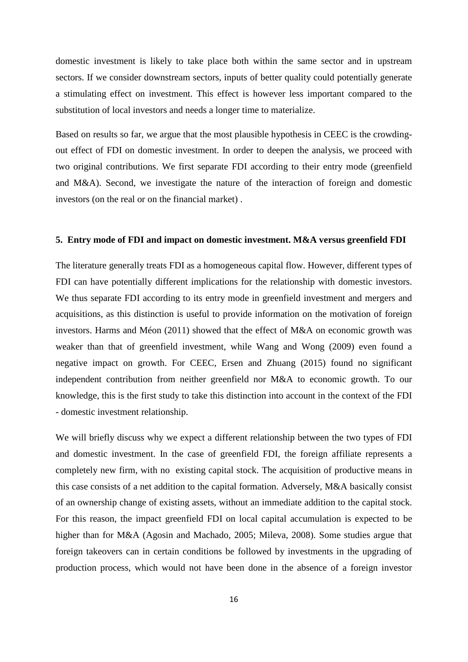domestic investment is likely to take place both within the same sector and in upstream sectors. If we consider downstream sectors, inputs of better quality could potentially generate a stimulating effect on investment. This effect is however less important compared to the substitution of local investors and needs a longer time to materialize.

Based on results so far, we argue that the most plausible hypothesis in CEEC is the crowdingout effect of FDI on domestic investment. In order to deepen the analysis, we proceed with two original contributions. We first separate FDI according to their entry mode (greenfield and M&A). Second, we investigate the nature of the interaction of foreign and domestic investors (on the real or on the financial market) .

#### **5. Entry mode of FDI and impact on domestic investment. M&A versus greenfield FDI**

The literature generally treats FDI as a homogeneous capital flow. However, different types of FDI can have potentially different implications for the relationship with domestic investors. We thus separate FDI according to its entry mode in greenfield investment and mergers and acquisitions, as this distinction is useful to provide information on the motivation of foreign investors. Harms and Méon (2011) showed that the effect of M&A on economic growth was weaker than that of greenfield investment, while Wang and Wong (2009) even found a negative impact on growth. For CEEC, Ersen and Zhuang (2015) found no significant independent contribution from neither greenfield nor M&A to economic growth. To our knowledge, this is the first study to take this distinction into account in the context of the FDI - domestic investment relationship.

We will briefly discuss why we expect a different relationship between the two types of FDI and domestic investment. In the case of greenfield FDI, the foreign affiliate represents a completely new firm, with no existing capital stock. The acquisition of productive means in this case consists of a net addition to the capital formation. Adversely, M&A basically consist of an ownership change of existing assets, without an immediate addition to the capital stock. For this reason, the impact greenfield FDI on local capital accumulation is expected to be higher than for M&A (Agosin and Machado, 2005; Mileva, 2008). Some studies argue that foreign takeovers can in certain conditions be followed by investments in the upgrading of production process, which would not have been done in the absence of a foreign investor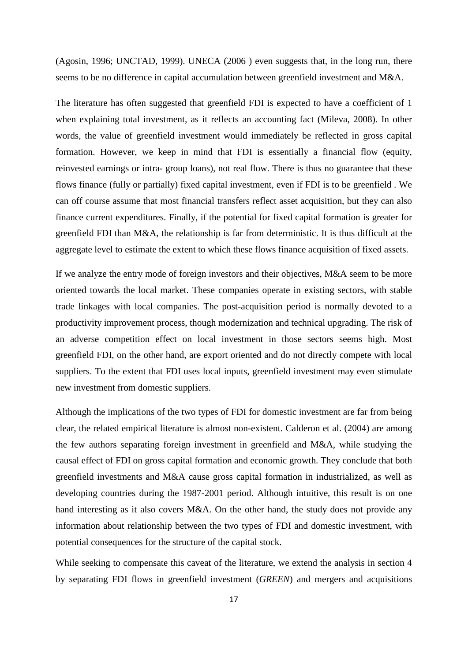(Agosin, 1996; UNCTAD, 1999). UNECA (2006 ) even suggests that, in the long run, there seems to be no difference in capital accumulation between greenfield investment and M&A.

The literature has often suggested that greenfield FDI is expected to have a coefficient of 1 when explaining total investment, as it reflects an accounting fact (Mileva, 2008). In other words, the value of greenfield investment would immediately be reflected in gross capital formation. However, we keep in mind that FDI is essentially a financial flow (equity, reinvested earnings or intra- group loans), not real flow. There is thus no guarantee that these flows finance (fully or partially) fixed capital investment, even if FDI is to be greenfield . We can off course assume that most financial transfers reflect asset acquisition, but they can also finance current expenditures. Finally, if the potential for fixed capital formation is greater for greenfield FDI than M&A, the relationship is far from deterministic. It is thus difficult at the aggregate level to estimate the extent to which these flows finance acquisition of fixed assets.

If we analyze the entry mode of foreign investors and their objectives, M&A seem to be more oriented towards the local market. These companies operate in existing sectors, with stable trade linkages with local companies. The post-acquisition period is normally devoted to a productivity improvement process, though modernization and technical upgrading. The risk of an adverse competition effect on local investment in those sectors seems high. Most greenfield FDI, on the other hand, are export oriented and do not directly compete with local suppliers. To the extent that FDI uses local inputs, greenfield investment may even stimulate new investment from domestic suppliers.

Although the implications of the two types of FDI for domestic investment are far from being clear, the related empirical literature is almost non-existent. Calderon et al. (2004) are among the few authors separating foreign investment in greenfield and M&A, while studying the causal effect of FDI on gross capital formation and economic growth. They conclude that both greenfield investments and M&A cause gross capital formation in industrialized, as well as developing countries during the 1987-2001 period. Although intuitive, this result is on one hand interesting as it also covers M&A. On the other hand, the study does not provide any information about relationship between the two types of FDI and domestic investment, with potential consequences for the structure of the capital stock.

While seeking to compensate this caveat of the literature, we extend the analysis in section 4 by separating FDI flows in greenfield investment (*GREEN*) and mergers and acquisitions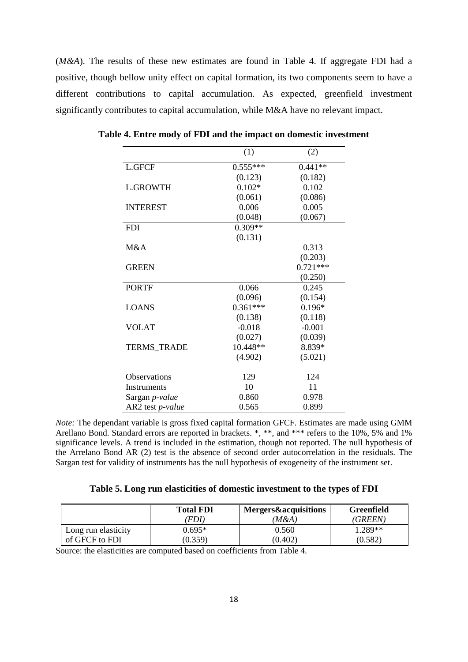(*M&A*). The results of these new estimates are found in Table 4. If aggregate FDI had a positive, though bellow unity effect on capital formation, its two components seem to have a different contributions to capital accumulation. As expected, greenfield investment significantly contributes to capital accumulation, while M&A have no relevant impact.

|                       | (1)        | (2)        |
|-----------------------|------------|------------|
| <b>L.GFCF</b>         | $0.555***$ | $0.441**$  |
|                       | (0.123)    | (0.182)    |
| <b>L.GROWTH</b>       | $0.102*$   | 0.102      |
|                       | (0.061)    | (0.086)    |
| <b>INTEREST</b>       | 0.006      | 0.005      |
|                       | (0.048)    | (0.067)    |
| <b>FDI</b>            | $0.309**$  |            |
|                       | (0.131)    |            |
| M&A                   |            | 0.313      |
|                       |            | (0.203)    |
| <b>GREEN</b>          |            | $0.721***$ |
|                       |            | (0.250)    |
| <b>PORTF</b>          | 0.066      | 0.245      |
|                       | (0.096)    | (0.154)    |
| <b>LOANS</b>          | $0.361***$ | $0.196*$   |
|                       | (0.138)    | (0.118)    |
| <b>VOLAT</b>          | $-0.018$   | $-0.001$   |
|                       | (0.027)    | (0.039)    |
| <b>TERMS_TRADE</b>    | 10.448**   | 8.839*     |
|                       | (4.902)    | (5.021)    |
| Observations          | 129        | 124        |
| Instruments           | 10         | 11         |
| Sargan <i>p-value</i> | 0.860      | 0.978      |
| AR2 test p-value      | 0.565      | 0.899      |

**Table 4. Entre mody of FDI and the impact on domestic investment** 

*Note:* The dependant variable is gross fixed capital formation GFCF. Estimates are made using GMM Arellano Bond. Standard errors are reported in brackets. \*, \*\*, and \*\*\* refers to the 10%, 5% and 1% significance levels. A trend is included in the estimation, though not reported. The null hypothesis of the Arrelano Bond AR (2) test is the absence of second order autocorrelation in the residuals. The Sargan test for validity of instruments has the null hypothesis of exogeneity of the instrument set.

| Table 5. Long run elasticities of domestic investment to the types of FDI |  |  |
|---------------------------------------------------------------------------|--|--|
|                                                                           |  |  |

|                     | <b>Total FDI</b> | Mergers&acquisitions | <b>Greenfield</b> |
|---------------------|------------------|----------------------|-------------------|
|                     | FDI)             | (M&A)                | <i>(GREEN)</i>    |
| Long run elasticity | $0.695*$         | 0.560                | 1.289**           |
| of GFCF to FDI      | (0.359)          | (0.402)              | (0.582)           |

Source: the elasticities are computed based on coefficients from Table 4.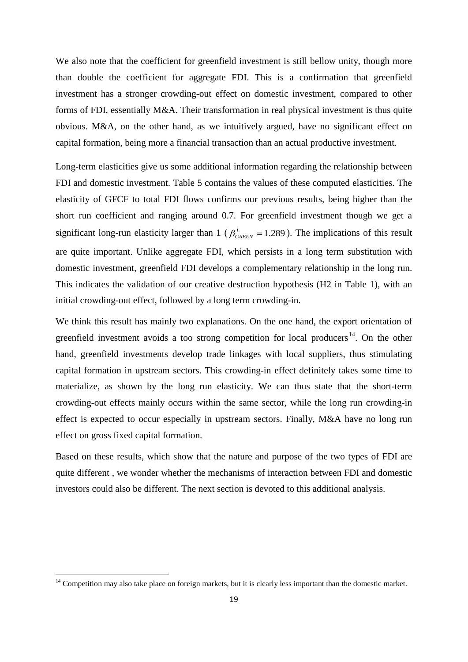We also note that the coefficient for greenfield investment is still bellow unity, though more than double the coefficient for aggregate FDI. This is a confirmation that greenfield investment has a stronger crowding-out effect on domestic investment, compared to other forms of FDI, essentially M&A. Their transformation in real physical investment is thus quite obvious. M&A, on the other hand, as we intuitively argued, have no significant effect on capital formation, being more a financial transaction than an actual productive investment.

Long-term elasticities give us some additional information regarding the relationship between FDI and domestic investment. Table 5 contains the values of these computed elasticities. The elasticity of GFCF to total FDI flows confirms our previous results, being higher than the short run coefficient and ranging around 0.7. For greenfield investment though we get a significant long-run elasticity larger than 1 ( $\beta_{GREEN}^L = 1.289$ ). The implications of this result are quite important. Unlike aggregate FDI, which persists in a long term substitution with domestic investment, greenfield FDI develops a complementary relationship in the long run. This indicates the validation of our creative destruction hypothesis (H2 in Table 1), with an initial crowding-out effect, followed by a long term crowding-in.

We think this result has mainly two explanations. On the one hand, the export orientation of greenfield investment avoids a too strong competition for local producers<sup>14</sup>. On the other hand, greenfield investments develop trade linkages with local suppliers, thus stimulating capital formation in upstream sectors. This crowding-in effect definitely takes some time to materialize, as shown by the long run elasticity. We can thus state that the short-term crowding-out effects mainly occurs within the same sector, while the long run crowding-in effect is expected to occur especially in upstream sectors. Finally, M&A have no long run effect on gross fixed capital formation.

Based on these results, which show that the nature and purpose of the two types of FDI are quite different , we wonder whether the mechanisms of interaction between FDI and domestic investors could also be different. The next section is devoted to this additional analysis.

<span id="page-19-0"></span> $14$  Competition may also take place on foreign markets, but it is clearly less important than the domestic market.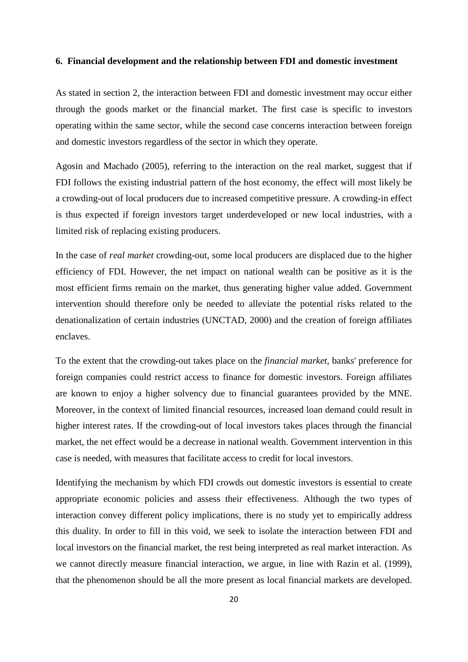#### **6. Financial development and the relationship between FDI and domestic investment**

As stated in section 2, the interaction between FDI and domestic investment may occur either through the goods market or the financial market. The first case is specific to investors operating within the same sector, while the second case concerns interaction between foreign and domestic investors regardless of the sector in which they operate.

Agosin and Machado (2005), referring to the interaction on the real market, suggest that if FDI follows the existing industrial pattern of the host economy, the effect will most likely be a crowding-out of local producers due to increased competitive pressure. A crowding-in effect is thus expected if foreign investors target underdeveloped or new local industries, with a limited risk of replacing existing producers.

In the case of *real market* crowding-out, some local producers are displaced due to the higher efficiency of FDI. However, the net impact on national wealth can be positive as it is the most efficient firms remain on the market, thus generating higher value added. Government intervention should therefore only be needed to alleviate the potential risks related to the denationalization of certain industries (UNCTAD, 2000) and the creation of foreign affiliates enclaves.

To the extent that the crowding-out takes place on the *financial market*, banks' preference for foreign companies could restrict access to finance for domestic investors. Foreign affiliates are known to enjoy a higher solvency due to financial guarantees provided by the MNE. Moreover, in the context of limited financial resources, increased loan demand could result in higher interest rates. If the crowding-out of local investors takes places through the financial market, the net effect would be a decrease in national wealth. Government intervention in this case is needed, with measures that facilitate access to credit for local investors.

Identifying the mechanism by which FDI crowds out domestic investors is essential to create appropriate economic policies and assess their effectiveness. Although the two types of interaction convey different policy implications, there is no study yet to empirically address this duality. In order to fill in this void, we seek to isolate the interaction between FDI and local investors on the financial market, the rest being interpreted as real market interaction. As we cannot directly measure financial interaction, we argue, in line with Razin et al. (1999), that the phenomenon should be all the more present as local financial markets are developed.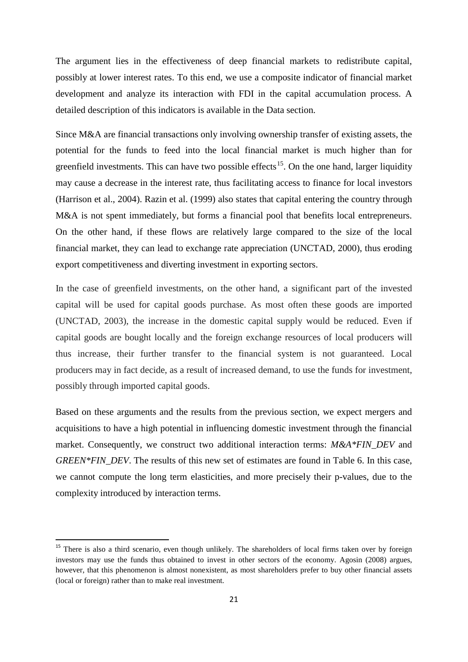The argument lies in the effectiveness of deep financial markets to redistribute capital, possibly at lower interest rates. To this end, we use a composite indicator of financial market development and analyze its interaction with FDI in the capital accumulation process. A detailed description of this indicators is available in the Data section.

Since M&A are financial transactions only involving ownership transfer of existing assets, the potential for the funds to feed into the local financial market is much higher than for greenfield investments. This can have two possible effects<sup>15</sup>. On the one hand, larger liquidity may cause a decrease in the interest rate, thus facilitating access to finance for local investors (Harrison et al., 2004). Razin et al. (1999) also states that capital entering the country through M&A is not spent immediately, but forms a financial pool that benefits local entrepreneurs. On the other hand, if these flows are relatively large compared to the size of the local financial market, they can lead to exchange rate appreciation (UNCTAD, 2000), thus eroding export competitiveness and diverting investment in exporting sectors.

In the case of greenfield investments, on the other hand, a significant part of the invested capital will be used for capital goods purchase. As most often these goods are imported (UNCTAD, 2003), the increase in the domestic capital supply would be reduced. Even if capital goods are bought locally and the foreign exchange resources of local producers will thus increase, their further transfer to the financial system is not guaranteed. Local producers may in fact decide, as a result of increased demand, to use the funds for investment, possibly through imported capital goods.

Based on these arguments and the results from the previous section, we expect mergers and acquisitions to have a high potential in influencing domestic investment through the financial market. Consequently, we construct two additional interaction terms: *M&A\*FIN\_DEV* and *GREEN\*FIN\_DEV*. The results of this new set of estimates are found in Table 6. In this case, we cannot compute the long term elasticities, and more precisely their p-values, due to the complexity introduced by interaction terms.

<span id="page-21-0"></span><sup>&</sup>lt;sup>15</sup> There is also a third scenario, even though unlikely. The shareholders of local firms taken over by foreign investors may use the funds thus obtained to invest in other sectors of the economy. Agosin (2008) argues, however, that this phenomenon is almost nonexistent, as most shareholders prefer to buy other financial assets (local or foreign) rather than to make real investment.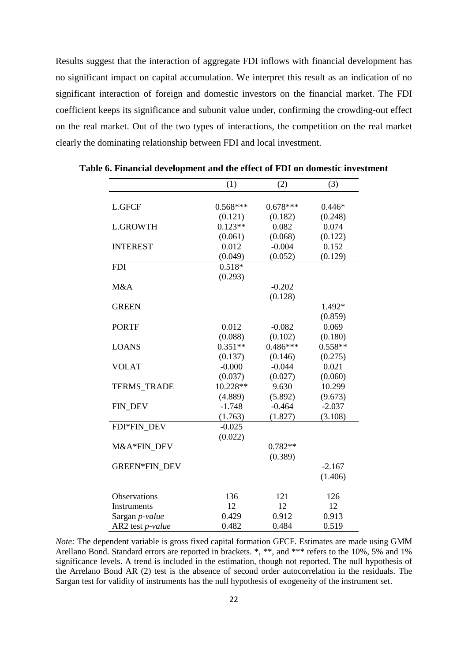Results suggest that the interaction of aggregate FDI inflows with financial development has no significant impact on capital accumulation. We interpret this result as an indication of no significant interaction of foreign and domestic investors on the financial market. The FDI coefficient keeps its significance and subunit value under, confirming the crowding-out effect on the real market. Out of the two types of interactions, the competition on the real market clearly the dominating relationship between FDI and local investment.

|                    | (1)        | (2)        | (3)       |
|--------------------|------------|------------|-----------|
| <b>L.GFCF</b>      | $0.568***$ | $0.678***$ | $0.446*$  |
|                    |            |            |           |
|                    | (0.121)    | (0.182)    | (0.248)   |
| <b>L.GROWTH</b>    | $0.123**$  | 0.082      | 0.074     |
|                    | (0.061)    | (0.068)    | (0.122)   |
| <b>INTEREST</b>    | 0.012      | $-0.004$   | 0.152     |
|                    | (0.049)    | (0.052)    | (0.129)   |
| <b>FDI</b>         | $0.518*$   |            |           |
|                    | (0.293)    |            |           |
| M&A                |            | $-0.202$   |           |
|                    |            | (0.128)    |           |
| <b>GREEN</b>       |            |            | 1.492*    |
|                    |            |            | (0.859)   |
| <b>PORTF</b>       | 0.012      | $-0.082$   | 0.069     |
|                    | (0.088)    | (0.102)    | (0.180)   |
| <b>LOANS</b>       | $0.351**$  | $0.486***$ | $0.558**$ |
|                    | (0.137)    | (0.146)    | (0.275)   |
| <b>VOLAT</b>       | $-0.000$   | $-0.044$   | 0.021     |
|                    | (0.037)    | (0.027)    | (0.060)   |
| <b>TERMS_TRADE</b> | 10.228**   | 9.630      | 10.299    |
|                    | (4.889)    | (5.892)    | (9.673)   |
| FIN_DEV            | $-1.748$   | $-0.464$   | $-2.037$  |
|                    | (1.763)    | (1.827)    | (3.108)   |
| FDI*FIN DEV        | $-0.025$   |            |           |
|                    | (0.022)    |            |           |
| M&A*FIN DEV        |            | $0.782**$  |           |
|                    |            | (0.389)    |           |
| GREEN*FIN_DEV      |            |            | $-2.167$  |
|                    |            |            | (1.406)   |
|                    |            |            |           |
| Observations       | 136        | 121        | 126       |
| Instruments        | 12         | 12         | 12        |
| Sargan p-value     | 0.429      | 0.912      | 0.913     |
| AR2 test p-value   | 0.482      | 0.484      | 0.519     |

**Table 6. Financial development and the effect of FDI on domestic investment**

*Note:* The dependent variable is gross fixed capital formation GFCF. Estimates are made using GMM Arellano Bond. Standard errors are reported in brackets. \*, \*\*, and \*\*\* refers to the 10%, 5% and 1% significance levels. A trend is included in the estimation, though not reported. The null hypothesis of the Arrelano Bond AR (2) test is the absence of second order autocorrelation in the residuals. The Sargan test for validity of instruments has the null hypothesis of exogeneity of the instrument set.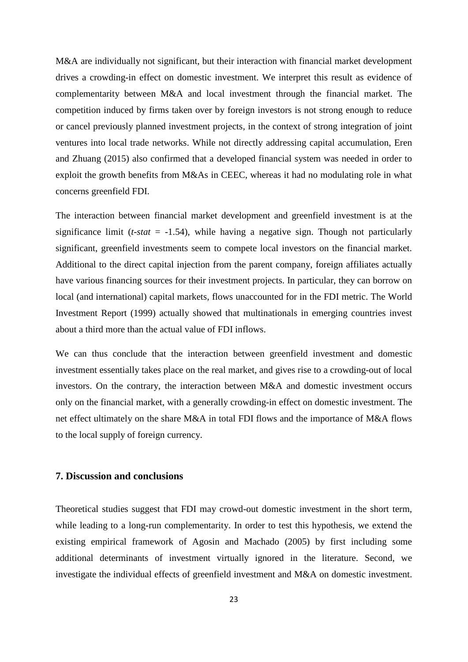M&A are individually not significant, but their interaction with financial market development drives a crowding-in effect on domestic investment. We interpret this result as evidence of complementarity between M&A and local investment through the financial market. The competition induced by firms taken over by foreign investors is not strong enough to reduce or cancel previously planned investment projects, in the context of strong integration of joint ventures into local trade networks. While not directly addressing capital accumulation, Eren and Zhuang (2015) also confirmed that a developed financial system was needed in order to exploit the growth benefits from M&As in CEEC, whereas it had no modulating role in what concerns greenfield FDI.

The interaction between financial market development and greenfield investment is at the significance limit ( $t$ -*stat* = -1.54), while having a negative sign. Though not particularlysignificant, greenfield investments seem to compete local investors on the financial market. Additional to the direct capital injection from the parent company, foreign affiliates actually have various financing sources for their investment projects. In particular, they can borrow on local (and international) capital markets, flows unaccounted for in the FDI metric. The World Investment Report (1999) actually showed that multinationals in emerging countries invest about a third more than the actual value of FDI inflows.

We can thus conclude that the interaction between greenfield investment and domestic investment essentially takes place on the real market, and gives rise to a crowding-out of local investors. On the contrary, the interaction between M&A and domestic investment occurs only on the financial market, with a generally crowding-in effect on domestic investment. The net effect ultimately on the share M&A in total FDI flows and the importance of M&A flows to the local supply of foreign currency.

### **7. Discussion and conclusions**

Theoretical studies suggest that FDI may crowd-out domestic investment in the short term, while leading to a long-run complementarity. In order to test this hypothesis, we extend the existing empirical framework of Agosin and Machado (2005) by first including some additional determinants of investment virtually ignored in the literature. Second, we investigate the individual effects of greenfield investment and M&A on domestic investment.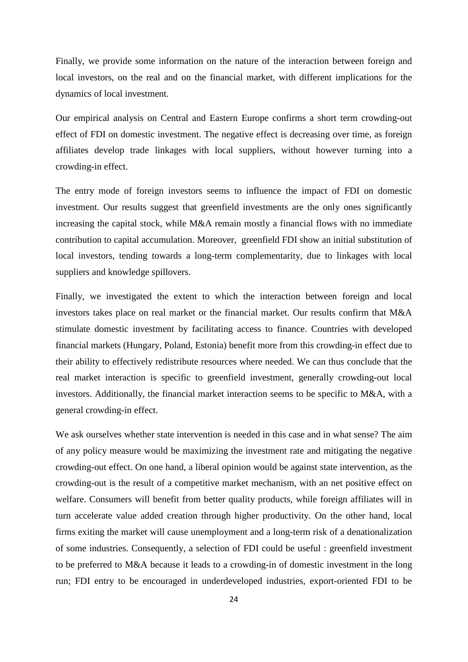Finally, we provide some information on the nature of the interaction between foreign and local investors, on the real and on the financial market, with different implications for the dynamics of local investment.

Our empirical analysis on Central and Eastern Europe confirms a short term crowding-out effect of FDI on domestic investment. The negative effect is decreasing over time, as foreign affiliates develop trade linkages with local suppliers, without however turning into a crowding-in effect.

The entry mode of foreign investors seems to influence the impact of FDI on domestic investment. Our results suggest that greenfield investments are the only ones significantly increasing the capital stock, while M&A remain mostly a financial flows with no immediate contribution to capital accumulation. Moreover, greenfield FDI show an initial substitution of local investors, tending towards a long-term complementarity, due to linkages with local suppliers and knowledge spillovers.

Finally, we investigated the extent to which the interaction between foreign and local investors takes place on real market or the financial market. Our results confirm that M&A stimulate domestic investment by facilitating access to finance. Countries with developed financial markets (Hungary, Poland, Estonia) benefit more from this crowding-in effect due to their ability to effectively redistribute resources where needed. We can thus conclude that the real market interaction is specific to greenfield investment, generally crowding-out local investors. Additionally, the financial market interaction seems to be specific to M&A, with a general crowding-in effect.

We ask ourselves whether state intervention is needed in this case and in what sense? The aim of any policy measure would be maximizing the investment rate and mitigating the negative crowding-out effect. On one hand, a liberal opinion would be against state intervention, as the crowding-out is the result of a competitive market mechanism, with an net positive effect on welfare. Consumers will benefit from better quality products, while foreign affiliates will in turn accelerate value added creation through higher productivity. On the other hand, local firms exiting the market will cause unemployment and a long-term risk of a denationalization of some industries. Consequently, a selection of FDI could be useful : greenfield investment to be preferred to M&A because it leads to a crowding-in of domestic investment in the long run; FDI entry to be encouraged in underdeveloped industries, export-oriented FDI to be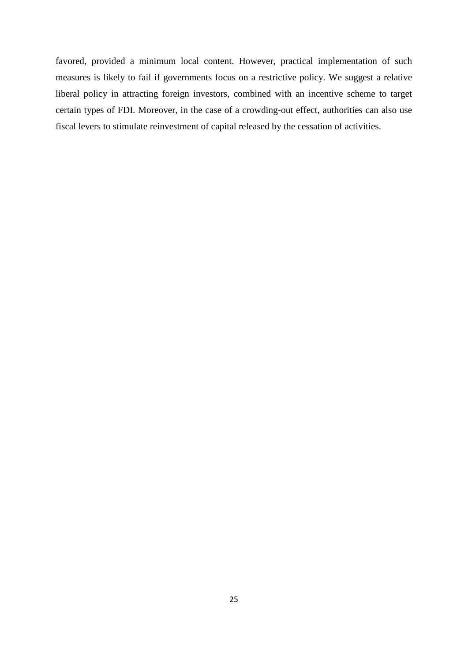favored, provided a minimum local content. However, practical implementation of such measures is likely to fail if governments focus on a restrictive policy. We suggest a relative liberal policy in attracting foreign investors, combined with an incentive scheme to target certain types of FDI. Moreover, in the case of a crowding-out effect, authorities can also use fiscal levers to stimulate reinvestment of capital released by the cessation of activities.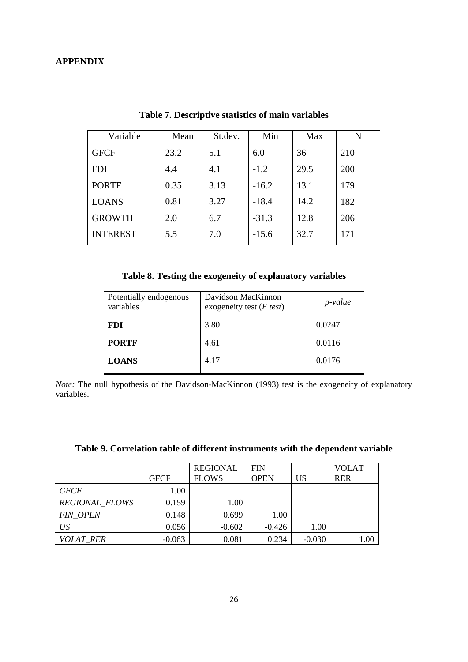# **APPENDIX**

| Variable        | Mean | St.dev. | Min     | Max  | N   |
|-----------------|------|---------|---------|------|-----|
| <b>GFCF</b>     | 23.2 | 5.1     | 6.0     | 36   | 210 |
| <b>FDI</b>      | 4.4  | 4.1     | $-1.2$  | 29.5 | 200 |
| <b>PORTF</b>    | 0.35 | 3.13    | $-16.2$ | 13.1 | 179 |
| <b>LOANS</b>    | 0.81 | 3.27    | $-18.4$ | 14.2 | 182 |
| <b>GROWTH</b>   | 2.0  | 6.7     | $-31.3$ | 12.8 | 206 |
| <b>INTEREST</b> | 5.5  | 7.0     | $-15.6$ | 32.7 | 171 |

**Table 7. Descriptive statistics of main variables**

# **Table 8. Testing the exogeneity of explanatory variables**

| Potentially endogenous<br>variables | Davidson MacKinnon<br>exogeneity test $(F \text{ test})$ | p-value |
|-------------------------------------|----------------------------------------------------------|---------|
| <b>FDI</b>                          | 3.80                                                     | 0.0247  |
| <b>PORTF</b>                        | 4.61                                                     | 0.0116  |
| <b>LOANS</b>                        | 4.17                                                     | 0.0176  |

*Note:* The null hypothesis of the Davidson-MacKinnon (1993) test is the exogeneity of explanatory variables.

|                       |             | <b>REGIONAL</b> | <b>FIN</b>  |          | <b>VOLAT</b> |
|-----------------------|-------------|-----------------|-------------|----------|--------------|
|                       | <b>GFCF</b> | <b>FLOWS</b>    | <b>OPEN</b> | US       | <b>RER</b>   |
| <b>GFCF</b>           | 1.00        |                 |             |          |              |
| <b>REGIONAL FLOWS</b> | 0.159       | 1.00            |             |          |              |
| <b>FIN OPEN</b>       | 0.148       | 0.699           | 1.00        |          |              |
| US                    | 0.056       | $-0.602$        | $-0.426$    | 1.00     |              |
| <i>VOLAT RER</i>      | $-0.063$    | 0.081           | 0.234       | $-0.030$ | 1.00         |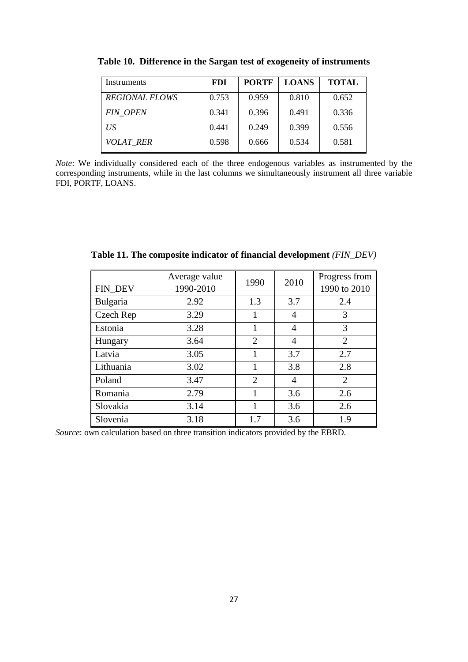| Instruments           | <b>FDI</b> | <b>PORTF</b> | <b>LOANS</b> | <b>TOTAL</b> |
|-----------------------|------------|--------------|--------------|--------------|
| <b>REGIONAL FLOWS</b> | 0.753      | 0.959        | 0.810        | 0.652        |
| <b>FIN_OPEN</b>       | 0.341      | 0.396        | 0.491        | 0.336        |
| US <sup>-</sup>       | 0.441      | 0.249        | 0.399        | 0.556        |
| <b>VOLAT RER</b>      | 0.598      | 0.666        | 0.534        | 0.581        |

**Table 10. Difference in the Sargan test of exogeneity of instruments**

*Note*: We individually considered each of the three endogenous variables as instrumented by the corresponding instruments, while in the last columns we simultaneously instrument all three variable FDI, PORTF, LOANS.

|           | Average value | 1990           | 2010 | Progress from  |
|-----------|---------------|----------------|------|----------------|
| FIN_DEV   | 1990-2010     |                |      | 1990 to 2010   |
| Bulgaria  | 2.92          | 1.3            | 3.7  | 2.4            |
| Czech Rep | 3.29          |                | 4    | 3              |
| Estonia   | 3.28          |                | 4    | 3              |
| Hungary   | 3.64          | $\overline{2}$ | 4    | $\overline{2}$ |
| Latvia    | 3.05          |                | 3.7  | 2.7            |
| Lithuania | 3.02          |                | 3.8  | 2.8            |
| Poland    | 3.47          | 2              | 4    | $\overline{2}$ |
| Romania   | 2.79          |                | 3.6  | 2.6            |
| Slovakia  | 3.14          |                | 3.6  | 2.6            |
| Slovenia  | 3.18          | 1.7            | 3.6  | 1.9            |

**Table 11. The composite indicator of financial development** *(FIN\_DEV)*

*Source*: own calculation based on three transition indicators provided by the EBRD.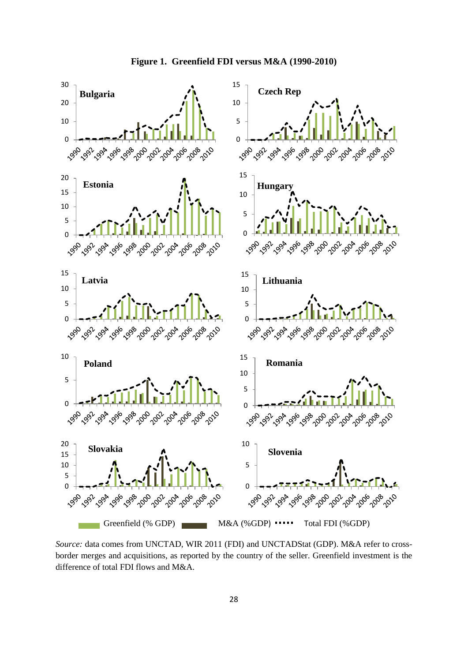

*Source:* data comes from UNCTAD, WIR 2011 (FDI) and UNCTADStat (GDP). M&A refer to crossborder merges and acquisitions, as reported by the country of the seller. Greenfield investment is the difference of total FDI flows and M&A.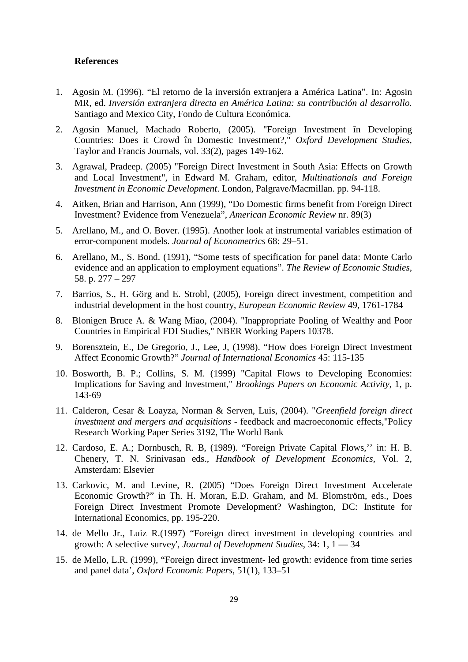#### **References**

- 1. Agosin M. (1996). "El retorno de la inversión extranjera a América Latina". In: Agosin MR, ed. *Inversión extranjera directa en América Latina: su contribución al desarrollo.*  Santiago and Mexico City, Fondo de Cultura Económica.
- 2. Agosin Manuel, Machado Roberto, (2005). ["Foreign Investment în Developing](http://ideas.repec.org/a/taf/oxdevs/v33y2005i2p149-162.html)  [Countries: Does it Crowd în Domestic](http://ideas.repec.org/a/taf/oxdevs/v33y2005i2p149-162.html) Investment?," *[Oxford Development Studies](http://ideas.repec.org/s/taf/oxdevs.html)*, Taylor and Francis Journals, vol. 33(2), pages 149-162.
- 3. Agrawal, Pradeep. (2005) "Foreign Direct Investment in South Asia: Effects on Growth and Local Investment", in Edward M. Graham, editor, *Multinationals and Foreign Investment in Economic Development*. London, Palgrave/Macmillan. pp. 94-118.
- 4. Aitken, Brian and Harrison, Ann (1999), "Do Domestic firms benefit from Foreign Direct Investment? Evidence from Venezuela", *American Economic Review* nr. 89(3)
- 5. Arellano, M., and O. Bover. (1995). Another look at instrumental variables estimation of error-component models. *Journal of Econometrics* 68: 29–51.
- 6. Arellano, M., S. Bond. (1991), "Some tests of specification for panel data: Monte Carlo evidence and an application to employment equations". *The Review of Economic Studies,*  58. p. 277 – 297
- 7. Barrios, S., H. Görg and E. Strobl, (2005), Foreign direct investment, competition and industrial development in the host country, *European Economic Review* 49, 1761-1784
- 8. Blonigen Bruce A. & Wang Miao, (2004). ["Inappropriate Pooling of Wealthy and Poor](http://ideas.repec.org/p/nbr/nberwo/10378.html)  [Countries in Empirical FDI Studies,](http://ideas.repec.org/p/nbr/nberwo/10378.html)" [NBER Working Papers](http://ideas.repec.org/s/nbr/nberwo.html) 10378.
- 9. Borensztein, E., De Gregorio, J., Lee, J, (1998). "How does Foreign Direct Investment Affect Economic Growth?" *Journal of International Economics* 45: 115-135
- 10. Bosworth, B. P.; Collins, S. M. (1999) "Capital Flows to Developing Economies: Implications for Saving and Investment," *Brookings Papers on Economic Activity*, 1, p. 143-69
- 11. Calderon, Cesar & Loayza, Norman & Serven, Luis, (2004). "*[Greenfield foreign direct](http://ideas.repec.org/p/wbk/wbrwps/3192.html)  [investment and mergers and acquisitions](http://ideas.repec.org/p/wbk/wbrwps/3192.html)* - feedback and macroeconomic effects,["Policy](http://ideas.repec.org/s/wbk/wbrwps.html)  [Research Working Paper Series](http://ideas.repec.org/s/wbk/wbrwps.html) 3192, The World Bank
- 12. Cardoso, E. A.; Dornbusch, R. B, (1989). "Foreign Private Capital Flows,'' in: H. B. Chenery, T. N. Srinivasan eds., *Handbook of Development Economics*, Vol. 2, Amsterdam: Elsevier
- 13. Carkovic, M. and Levine, R. (2005) "Does Foreign Direct Investment Accelerate Economic Growth?" in Th. H. Moran, E.D. Graham, and M. Blomström, eds., Does Foreign Direct Investment Promote Development? Washington, DC: Institute for International Economics, pp. 195-220.
- 14. de Mello Jr., Luiz R.(1997) "Foreign direct investment in developing countries and growth: A selective survey', *Journal of Development Studies*, 34: 1, 1 — 34
- 15. de Mello, L.R. (1999), "Foreign direct investment- led growth: evidence from time series and panel data', *Oxford Economic Papers*, 51(1), 133–51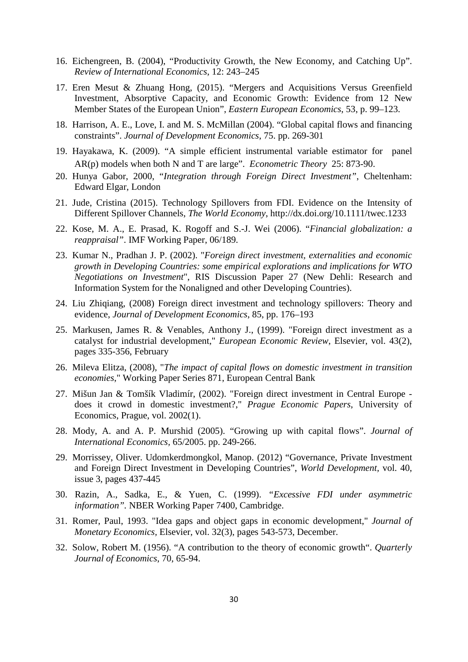- 16. Eichengreen, B. (2004), "Productivity Growth, the New Economy, and Catching Up". *Review of International Economics*, 12: 243–245
- 17. Eren Mesut & Zhuang Hong, (2015). "Mergers and Acquisitions Versus Greenfield Investment, Absorptive Capacity, and Economic Growth: Evidence from 12 New Member States of the European Union", *Eastern European Economics*, 53, p. 99–123.
- 18. Harrison, A. E., Love, I. and M. S. McMillan (2004). "Global capital flows and financing constraints". *Journal of Development Economics*, 75. pp. 269-301
- 19. Hayakawa, K. (2009). "A simple efficient instrumental variable estimator for panel AR(p) models when both N and T are large". *Econometric Theory* 25: 873-90.
- 20. Hunya Gabor, 2000, "*Integration through Foreign Direct Investment"*, Cheltenham: Edward Elgar, London
- 21. Jude, Cristina (2015). Technology Spillovers from FDI. Evidence on the Intensity of Different Spillover Channels, *The World Economy*, http://dx.doi.org/10.1111/twec.1233
- 22. Kose, M. A., E. Prasad, K. Rogoff and S.-J. Wei (2006). "*Financial globalization: a reappraisal"*. IMF Working Paper, 06/189.
- 23. Kumar N., Pradhan J. P. (2002). "*Foreign direct investment, externalities and economic growth in Developing Countries: some empirical explorations and implications for WTO Negotiations on Investment*", RIS Discussion Paper 27 (New Dehli: Research and Information System for the Nonaligned and other Developing Countries).
- 24. Liu Zhiqiang, (2008) Foreign direct investment and technology spillovers: Theory and evidence, *Journal of Development Economics*, 85, pp. 176–193
- 25. Markusen, James R. & Venables, Anthony J., (1999). ["Foreign direct investment as a](http://ideas.repec.org/a/eee/eecrev/v43y1999i2p335-356.html)  [catalyst for industrial development,](http://ideas.repec.org/a/eee/eecrev/v43y1999i2p335-356.html)" *[European Economic Review](http://ideas.repec.org/s/eee/eecrev.html)*, Elsevier, vol. 43(2), pages 335-356, February
- 26. Mileva Elitza, (2008), "*[The impact of capital flows on domestic investment in transition](http://ideas.repec.org/p/ecb/ecbwps/20080871.html)  [economies](http://ideas.repec.org/p/ecb/ecbwps/20080871.html)*," [Working Paper Series](http://ideas.repec.org/s/ecb/ecbwps.html) 871, European Central Bank
- 27. Mišun Jan & Tomšík Vladimír, (2002). ["Foreign direct investment in Central Europe](http://ideas.repec.org/a/prg/jnlpep/v2002y2002i1id188.html)  [does it crowd in domestic investment?,](http://ideas.repec.org/a/prg/jnlpep/v2002y2002i1id188.html)" *[Prague Economic Papers](http://ideas.repec.org/s/prg/jnlpep.html)*, University of Economics, Prague, vol. 2002(1).
- 28. Mody, A. and A. P. Murshid (2005). "Growing up with capital flows". *Journal of International Economics,* 65/2005. pp. 249-266.
- 29. Morrissey, Oliver. Udomkerdmongkol, Manop. (2012) "Governance, Private Investment and Foreign Direct Investment in Developing Countries", *World Development,* vol. 40, issue 3, pages 437-445
- 30. Razin, A., Sadka, E., & Yuen, C. (1999). *"Excessive FDI under asymmetric information".* NBER Working Paper 7400, Cambridge.
- 31. Romer, Paul, 1993. ["Idea gaps and object gaps in economic development,](http://ideas.repec.org/a/eee/moneco/v32y1993i3p543-573.html)" *[Journal of](http://ideas.repec.org/s/eee/moneco.html)  [Monetary Economics,](http://ideas.repec.org/s/eee/moneco.html)* Elsevier, vol. 32(3), pages 543-573, December.
- 32. Solow, Robert M. (1956). "A contribution to the theory of economic growth". *Quarterly Journal of Economics*, 70, 65-94.